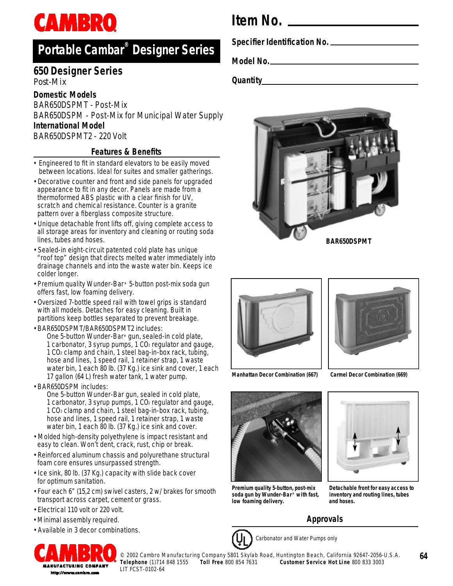# **CAMBRO**

### **P o rtable Cambar® Designer Series**

#### **650 Designer Series** *Post-Mix*

#### **Domestic Models**

BAR650DSPMT - Post-Mix BAR650DSPM - Post-Mix for Municipal Water Supply **International Model** BAR650DSPMT2 - 220 Volt

#### **Features & Benefits**

- Engineered to fit in standard elevators to be easily moved between locations. Ideal for suites and smaller gatherings.
- Decorative counter and front and side panels for upgraded appearance to fit in any decor. Panels are made from a thermoformed ABS plastic with a clear finish for UV, scratch and chemical resistance. Counter is a granite pattern over a fiberglass composite structure.
- Unique detachable front lifts off, giving complete access to all storage areas for inventory and cleaning or routing soda lines, tubes and hoses.
- Sealed-in eight-circuit patented cold plate has unique "roof top" design that directs melted water immediately into drainage channels and into the waste water bin. Keeps ice colder longer.
- Premium quality Wunder-Bar **®** 5-button post-mix soda gun offers fast, low foaming delivery.
- Oversized 7-bottle speed rail with towel grips is standard with all models. Detaches for easy cleaning. Built in partitions keep bottles separated to prevent breakage.
- BAR650DSPMT/BAR650DSPMT2 includes:

One 5-button Wunder-Bar**®** gun, sealed-in cold plate, 1 carbonator, 3 syrup pumps, 1  $CO<sub>2</sub>$  regulator and gauge, 1 CO<sup>2</sup> clamp and chain, 1 steel bag-in-box rack, tubing, hose and lines, 1 speed rail, 1 retainer strap, 1 waste water bin, 1 each 80 lb. (37 Kg.) ice sink and cover, 1 each 17 gallon (64 L) fresh water tank, 1 water pump.

• BAR650DSPM includes:

One 5-button Wunder-Bar gun, sealed in cold plate, 1 carbonator, 3 syrup pumps,  $1 \text{ CO}_2$  regulator and gauge, 1 CO<sup>2</sup> clamp and chain, 1 steel bag-in-box rack, tubing, hose and lines, 1 speed rail, 1 retainer strap, 1 waste water bin, 1 each 80 lb. (37 Kg.) ice sink and cover.

- Molded high-density polyethylene is impact resistant and easy to clean. Won't dent, crack, rust, chip or break.
- Reinforced aluminum chassis and polyurethane structural foam core ensures unsurpassed strength.
- Ice sink, 80 lb. (37 Kg.) capacity with slide back cover for optimum sanitation.
- Four each 6" (15,2 cm) swivel casters, 2 w/ brakes for smooth transport across carpet, cement or grass.
- Electrical 110 volt or 220 volt.
- Minimal assembly required.
- Available in 3 decor combinations.



**Item No.**

**Specifier Identification No.**

**Model No.**

**Quantity**







**Manhattan Decor Combination (667)**

**Carmel Decor Combination (669)**



**Premium quality 5-button, post-mix soda gun by Wunder-Bar ® with fast, low foaming delivery.**



**Detachable front for easy access to inventory and routing lines, tubes and hoses.**

### **Approvals**



Carbonator and Water Pumps only

© 2002 Cambro Manufacturing Company 5801 Skylab Road, Huntington Beach, California 92647-2056-U.S.A.

**64**

**T e l e p h o n e** (1)714 848 1555 **Toll Free** 800 854 7631 **Customer Service Hot Line** 800 833 3003 LIT FCST-0102-64